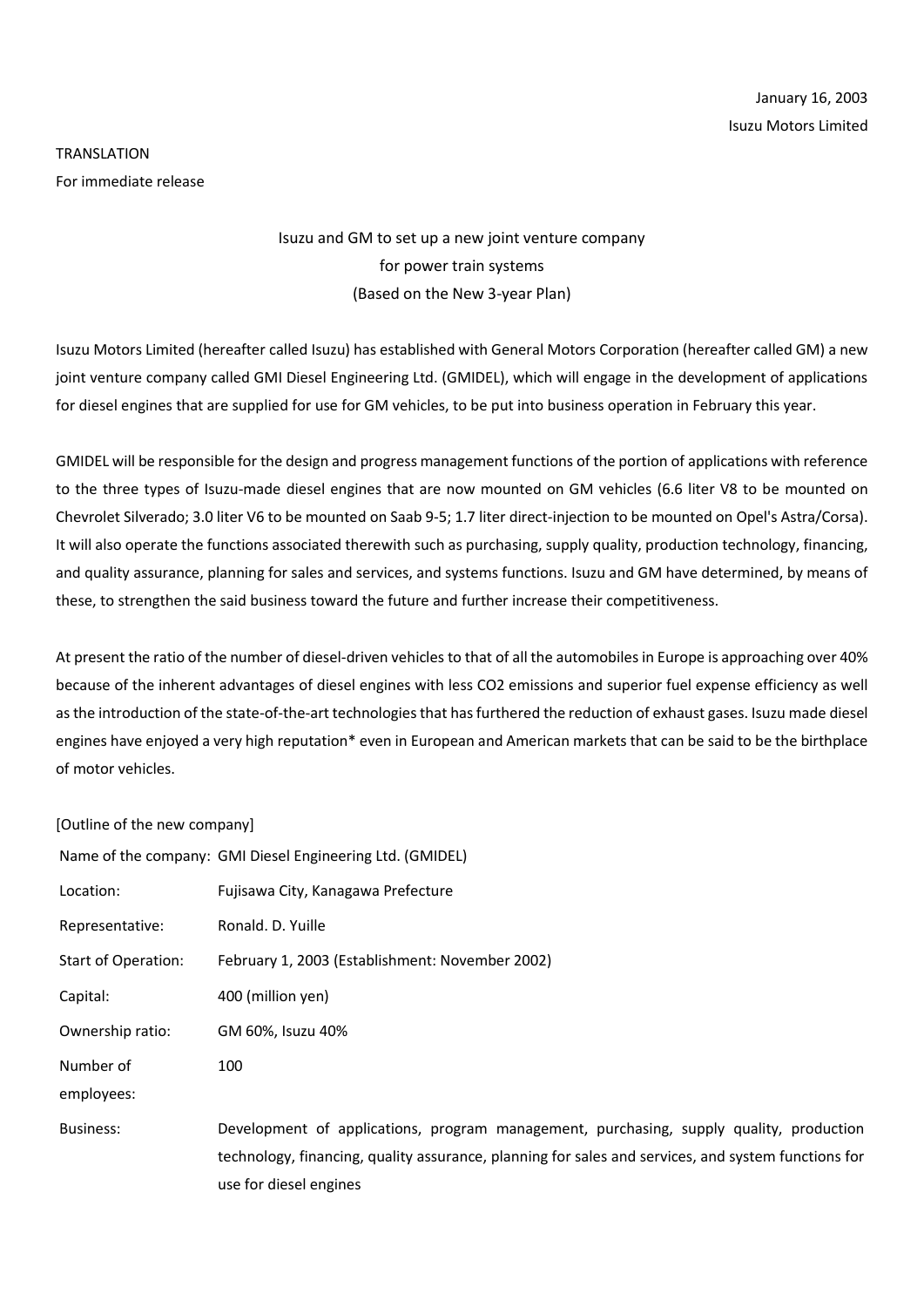## TRANSLATION For immediate release

## Isuzu and GM to set up a new joint venture company for power train systems (Based on the New 3-year Plan)

Isuzu Motors Limited (hereafter called Isuzu) has established with General Motors Corporation (hereafter called GM) a new joint venture company called GMI Diesel Engineering Ltd. (GMIDEL), which will engage in the development of applications for diesel engines that are supplied for use for GM vehicles, to be put into business operation in February this year.

GMIDEL will be responsible for the design and progress management functions of the portion of applications with reference to the three types of Isuzu-made diesel engines that are now mounted on GM vehicles (6.6 liter V8 to be mounted on Chevrolet Silverado; 3.0 liter V6 to be mounted on Saab 9-5; 1.7 liter direct-injection to be mounted on Opel's Astra/Corsa). It will also operate the functions associated therewith such as purchasing, supply quality, production technology, financing, and quality assurance, planning for sales and services, and systems functions. Isuzu and GM have determined, by means of these, to strengthen the said business toward the future and further increase their competitiveness.

At present the ratio of the number of diesel-driven vehicles to that of all the automobiles in Europe is approaching over 40% because of the inherent advantages of diesel engines with less CO2 emissions and superior fuel expense efficiency as well as the introduction of the state-of-the-art technologies that has furthered the reduction of exhaust gases. Isuzu made diesel engines have enjoyed a very high reputation\* even in European and American markets that can be said to be the birthplace of motor vehicles.

## [Outline of the new company]

|                            | Name of the company: GMI Diesel Engineering Ltd. (GMIDEL)                                                                                                                                                                |
|----------------------------|--------------------------------------------------------------------------------------------------------------------------------------------------------------------------------------------------------------------------|
| Location:                  | Fujisawa City, Kanagawa Prefecture                                                                                                                                                                                       |
| Representative:            | Ronald, D. Yuille                                                                                                                                                                                                        |
| <b>Start of Operation:</b> | February 1, 2003 (Establishment: November 2002)                                                                                                                                                                          |
| Capital:                   | 400 (million yen)                                                                                                                                                                                                        |
| Ownership ratio:           | GM 60%, Isuzu 40%                                                                                                                                                                                                        |
| Number of                  | 100                                                                                                                                                                                                                      |
| employees:                 |                                                                                                                                                                                                                          |
| <b>Business:</b>           | Development of applications, program management, purchasing, supply quality, production<br>technology, financing, quality assurance, planning for sales and services, and system functions for<br>use for diesel engines |